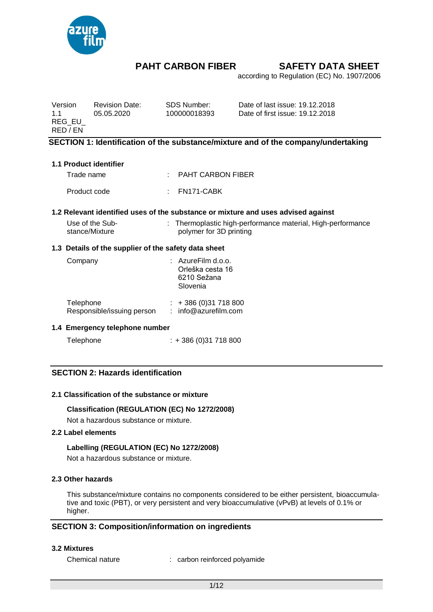

according to Regulation (EC) No. 1907/2006

Version Revision Date: SDS Number: Date of last issue: 19.12.2018 1.1 05.05.2020 100000018393 Date of first issue: 19.12.2018 REG\_EU\_ RED / EN

## **SECTION 1: Identification of the substance/mixture and of the company/undertaking**

#### **1.1 Product identifier**

Trade name : PAHT CARBON FIBER Product code : FN171-CABK

### **1.2 Relevant identified uses of the substance or mixture and uses advised against**

| Use of the Sub- | : Thermoplastic high-performance material, High-performance |
|-----------------|-------------------------------------------------------------|
| stance/Mixture  | polymer for 3D printing                                     |

### **1.3 Details of the supplier of the safety data sheet**

| Company                                 | $:$ AzureFilm d.o.o.<br>Orleška cesta 16<br>6210 Sežana<br>Slovenia |
|-----------------------------------------|---------------------------------------------------------------------|
| Telephone<br>Responsible/issuing person | $: +386(0)31718800$<br>: info@azurefilm.com                         |

#### **1.4 Emergency telephone number**

Telephone : + 386 (0) 31 718 800

# **SECTION 2: Hazards identification**

#### **2.1 Classification of the substance or mixture**

### **Classification (REGULATION (EC) No 1272/2008)**

Not a hazardous substance or mixture.

#### **2.2 Label elements**

#### **Labelling (REGULATION (EC) No 1272/2008)**

Not a hazardous substance or mixture.

#### **2.3 Other hazards**

This substance/mixture contains no components considered to be either persistent, bioaccumulative and toxic (PBT), or very persistent and very bioaccumulative (vPvB) at levels of 0.1% or higher.

## **SECTION 3: Composition/information on ingredients**

#### **3.2 Mixtures**

Chemical nature : carbon reinforced polyamide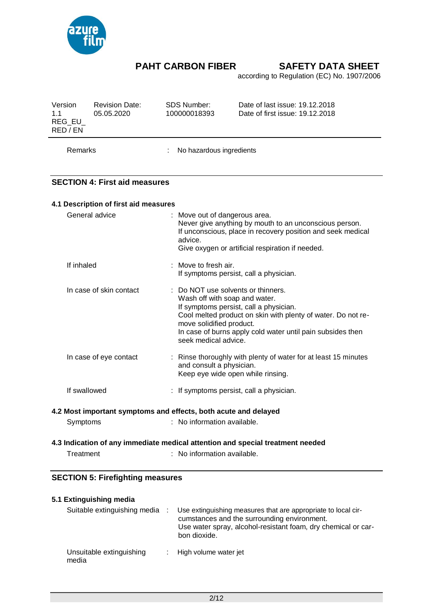

according to Regulation (EC) No. 1907/2006

| Version<br>1.1<br>$REG_EU$<br>RED / EN                   | <b>Revision Date:</b><br>05.05.2020                       | <b>SDS Number:</b><br>Date of last issue: 19.12.2018<br>100000018393<br>Date of first issue: 19.12.2018                                                                                                                                                                                       |  |  |  |
|----------------------------------------------------------|-----------------------------------------------------------|-----------------------------------------------------------------------------------------------------------------------------------------------------------------------------------------------------------------------------------------------------------------------------------------------|--|--|--|
| Remarks                                                  |                                                           | No hazardous ingredients                                                                                                                                                                                                                                                                      |  |  |  |
|                                                          | <b>SECTION 4: First aid measures</b>                      |                                                                                                                                                                                                                                                                                               |  |  |  |
|                                                          | 4.1 Description of first aid measures                     |                                                                                                                                                                                                                                                                                               |  |  |  |
| General advice<br>Move out of dangerous area.<br>advice. |                                                           | Never give anything by mouth to an unconscious person.<br>If unconscious, place in recovery position and seek medical<br>Give oxygen or artificial respiration if needed.                                                                                                                     |  |  |  |
| If inhaled                                               |                                                           | : Move to fresh air.<br>If symptoms persist, call a physician.                                                                                                                                                                                                                                |  |  |  |
|                                                          | In case of skin contact                                   | Do NOT use solvents or thinners.<br>Wash off with soap and water.<br>If symptoms persist, call a physician.<br>Cool melted product on skin with plenty of water. Do not re-<br>move solidified product.<br>In case of burns apply cold water until pain subsides then<br>seek medical advice. |  |  |  |
|                                                          | In case of eye contact                                    | : Rinse thoroughly with plenty of water for at least 15 minutes<br>and consult a physician.<br>Keep eye wide open while rinsing.                                                                                                                                                              |  |  |  |
|                                                          | If swallowed                                              | If symptoms persist, call a physician.                                                                                                                                                                                                                                                        |  |  |  |
|                                                          |                                                           | 4.2 Most important symptoms and effects, both acute and delayed                                                                                                                                                                                                                               |  |  |  |
| Symptoms                                                 |                                                           | : No information available.                                                                                                                                                                                                                                                                   |  |  |  |
|                                                          |                                                           | 4.3 Indication of any immediate medical attention and special treatment needed                                                                                                                                                                                                                |  |  |  |
| Treatment                                                |                                                           | : No information available.                                                                                                                                                                                                                                                                   |  |  |  |
|                                                          | <b>SECTION 5: Firefighting measures</b>                   |                                                                                                                                                                                                                                                                                               |  |  |  |
|                                                          |                                                           |                                                                                                                                                                                                                                                                                               |  |  |  |
|                                                          | 5.1 Extinguishing media<br>Suitable extinguishing media : | Use extinguishing measures that are appropriate to local cir-                                                                                                                                                                                                                                 |  |  |  |

|                                   | cumstances and the surrounding environment.<br>Use water spray, alcohol-resistant foam, dry chemical or car-<br>bon dioxide. |
|-----------------------------------|------------------------------------------------------------------------------------------------------------------------------|
| Unsuitable extinguishing<br>media | : High volume water jet                                                                                                      |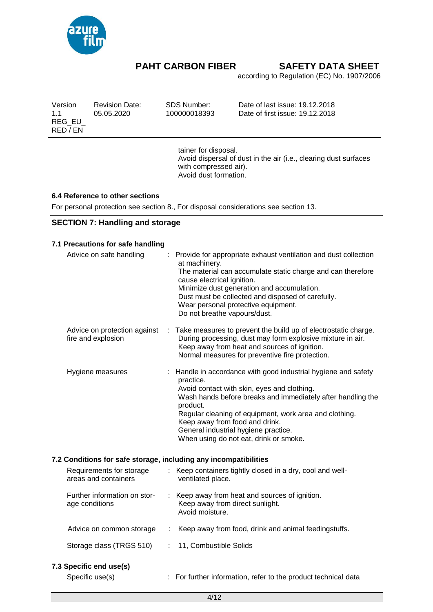

according to Regulation (EC) No. 1907/2006

Version Revision Date: SDS Number: Date of last issue: 19.12.2018 05.05.2020 100000018393 Date of first issue: 19.12.2018 REG\_EU\_ RED / EN

> tainer for disposal. Avoid dispersal of dust in the air (i.e., clearing dust surfaces with compressed air). Avoid dust formation.

### **6.4 Reference to other sections**

For personal protection see section 8., For disposal considerations see section 13.

# **SECTION 7: Handling and storage**

| 7.1 Precautions for safe handling                                |    |                                                                                                                                                                                                                                                                                                                                                                                     |
|------------------------------------------------------------------|----|-------------------------------------------------------------------------------------------------------------------------------------------------------------------------------------------------------------------------------------------------------------------------------------------------------------------------------------------------------------------------------------|
| Advice on safe handling                                          | t. | Provide for appropriate exhaust ventilation and dust collection<br>at machinery.<br>The material can accumulate static charge and can therefore<br>cause electrical ignition.<br>Minimize dust generation and accumulation.<br>Dust must be collected and disposed of carefully.<br>Wear personal protective equipment.<br>Do not breathe vapours/dust.                             |
| Advice on protection against<br>fire and explosion               | t. | Take measures to prevent the build up of electrostatic charge.<br>During processing, dust may form explosive mixture in air.<br>Keep away from heat and sources of ignition.<br>Normal measures for preventive fire protection.                                                                                                                                                     |
| Hygiene measures                                                 |    | : Handle in accordance with good industrial hygiene and safety<br>practice.<br>Avoid contact with skin, eyes and clothing.<br>Wash hands before breaks and immediately after handling the<br>product.<br>Regular cleaning of equipment, work area and clothing.<br>Keep away from food and drink.<br>General industrial hygiene practice.<br>When using do not eat, drink or smoke. |
| 7.2 Conditions for safe storage, including any incompatibilities |    |                                                                                                                                                                                                                                                                                                                                                                                     |
| Requirements for storage<br>areas and containers                 |    | : Keep containers tightly closed in a dry, cool and well-<br>ventilated place.                                                                                                                                                                                                                                                                                                      |
| Further information on stor-<br>age conditions                   |    | : Keep away from heat and sources of ignition.<br>Keep away from direct sunlight.<br>Avoid moisture.                                                                                                                                                                                                                                                                                |
| Advice on common storage                                         |    | : Keep away from food, drink and animal feedingstuffs.                                                                                                                                                                                                                                                                                                                              |
| Storage class (TRGS 510)                                         | ÷  | 11, Combustible Solids                                                                                                                                                                                                                                                                                                                                                              |
| 7.3 Specific end use(s)                                          |    |                                                                                                                                                                                                                                                                                                                                                                                     |

Specific use(s) : For further information, refer to the product technical data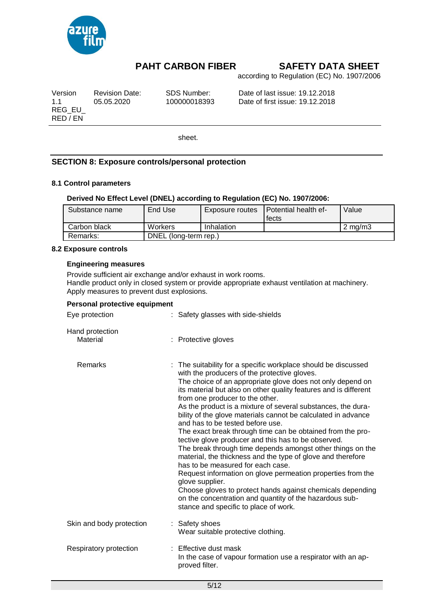

according to Regulation (EC) No. 1907/2006

| Version  | <b>Revision Date:</b> | SDS Number:  |
|----------|-----------------------|--------------|
| 1.1      | 05.05.2020            | 100000018393 |
| REG EU   |                       |              |
| RED / EN |                       |              |

Date of last issue: 19.12.2018 Date of first issue: 19.12.2018

sheet.

# **SECTION 8: Exposure controls/personal protection**

### **8.1 Control parameters**

## **Derived No Effect Level (DNEL) according to Regulation (EC) No. 1907/2006:**

| Substance name | End Use               | Exposure routes | <b>I</b> Potential health ef- | Value            |
|----------------|-----------------------|-----------------|-------------------------------|------------------|
|                |                       |                 | fects                         |                  |
| Carbon black   | Workers               | Inhalation      |                               | $2 \text{ mg/m}$ |
| Remarks:       | DNEL (long-term rep.) |                 |                               |                  |

#### **8.2 Exposure controls**

#### **Engineering measures**

Provide sufficient air exchange and/or exhaust in work rooms. Handle product only in closed system or provide appropriate exhaust ventilation at machinery. Apply measures to prevent dust explosions.

#### **Personal protective equipment**

| Eye protection              | : Safety glasses with side-shields                                                                                                                                                                                                                                                                                                                                                                                                                                                                                                                                                                                                                                                                                                                                                                                                                                                                                                                                                                  |  |
|-----------------------------|-----------------------------------------------------------------------------------------------------------------------------------------------------------------------------------------------------------------------------------------------------------------------------------------------------------------------------------------------------------------------------------------------------------------------------------------------------------------------------------------------------------------------------------------------------------------------------------------------------------------------------------------------------------------------------------------------------------------------------------------------------------------------------------------------------------------------------------------------------------------------------------------------------------------------------------------------------------------------------------------------------|--|
| Hand protection<br>Material | : Protective gloves                                                                                                                                                                                                                                                                                                                                                                                                                                                                                                                                                                                                                                                                                                                                                                                                                                                                                                                                                                                 |  |
| Remarks                     | : The suitability for a specific workplace should be discussed<br>with the producers of the protective gloves.<br>The choice of an appropriate glove does not only depend on<br>its material but also on other quality features and is different<br>from one producer to the other.<br>As the product is a mixture of several substances, the dura-<br>bility of the glove materials cannot be calculated in advance<br>and has to be tested before use.<br>The exact break through time can be obtained from the pro-<br>tective glove producer and this has to be observed.<br>The break through time depends amongst other things on the<br>material, the thickness and the type of glove and therefore<br>has to be measured for each case.<br>Request information on glove permeation properties from the<br>glove supplier.<br>Choose gloves to protect hands against chemicals depending<br>on the concentration and quantity of the hazardous sub-<br>stance and specific to place of work. |  |
| Skin and body protection    | : Safety shoes<br>Wear suitable protective clothing.                                                                                                                                                                                                                                                                                                                                                                                                                                                                                                                                                                                                                                                                                                                                                                                                                                                                                                                                                |  |
| Respiratory protection      | $:$ Effective dust mask<br>In the case of vapour formation use a respirator with an ap-<br>proved filter.                                                                                                                                                                                                                                                                                                                                                                                                                                                                                                                                                                                                                                                                                                                                                                                                                                                                                           |  |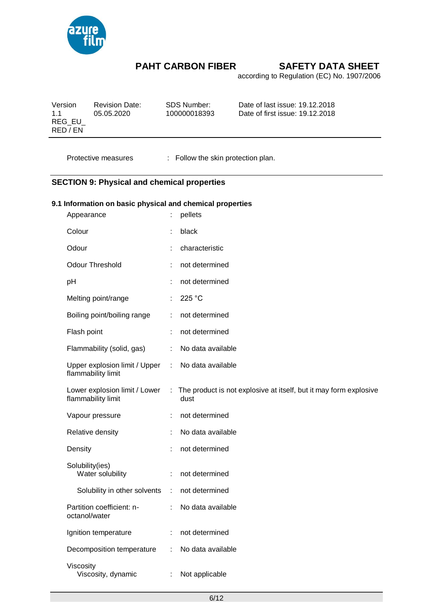

according to Regulation (EC) No. 1907/2006

| Version<br>11<br>REG EU | <b>Revision Date:</b><br>05.05.2020 | SDS Number:<br>100000018393 | Date of last issue: 19.12.2018<br>Date of first issue: 19.12.2018 |
|-------------------------|-------------------------------------|-----------------------------|-------------------------------------------------------------------|
| RED / EN                |                                     |                             |                                                                   |

Protective measures : Follow the skin protection plan.

# **SECTION 9: Physical and chemical properties**

## **9.1 Information on basic physical and chemical properties**

| Appearance                                          |   | pellets                                                                   |
|-----------------------------------------------------|---|---------------------------------------------------------------------------|
| Colour                                              |   | black                                                                     |
| Odour                                               |   | characteristic                                                            |
| <b>Odour Threshold</b>                              | ÷ | not determined                                                            |
| pH                                                  |   | not determined                                                            |
| Melting point/range                                 | ÷ | 225 °C                                                                    |
| Boiling point/boiling range                         |   | not determined                                                            |
| Flash point                                         |   | not determined                                                            |
| Flammability (solid, gas)                           | ÷ | No data available                                                         |
| Upper explosion limit / Upper<br>flammability limit | ÷ | No data available                                                         |
| Lower explosion limit / Lower<br>flammability limit | ÷ | The product is not explosive at itself, but it may form explosive<br>dust |
| Vapour pressure                                     | ÷ | not determined                                                            |
| Relative density                                    | ÷ | No data available                                                         |
| Density                                             |   | not determined                                                            |
| Solubility(ies)<br>Water solubility                 | ÷ | not determined                                                            |
| Solubility in other solvents                        | ÷ | not determined                                                            |
| Partition coefficient: n-<br>octanol/water          |   | No data available                                                         |
| Ignition temperature                                | ÷ | not determined                                                            |
| Decomposition temperature                           | ÷ | No data available                                                         |
| Viscosity<br>Viscosity, dynamic                     | ÷ | Not applicable                                                            |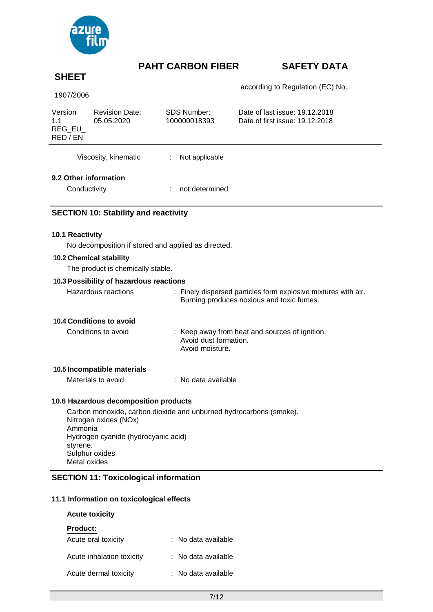

# **SHEET**

according to Regulation (EC) No.

| 1907/2006 |  |
|-----------|--|
|-----------|--|

| Version<br>1.1<br>REG EU<br>RED / EN | <b>Revision Date:</b><br>05.05.2020 | SDS Number:<br>100000018393 | Date of last issue: 19.12.2018<br>Date of first issue: 19.12.2018 |
|--------------------------------------|-------------------------------------|-----------------------------|-------------------------------------------------------------------|
| Viscosity, kinematic                 |                                     | Not applicable<br>÷         |                                                                   |
| 9.2 Other information                |                                     |                             |                                                                   |

Conductivity **: not determined** 

# **SECTION 10: Stability and reactivity**

### **10.1 Reactivity**

No decomposition if stored and applied as directed.

#### **10.2 Chemical stability**

The product is chemically stable.

### **10.3 Possibility of hazardous reactions**

| Burning produces noxious and toxic fumes. |  | Hazardous reactions | : Finely dispersed particles form explosive mixtures with air. |
|-------------------------------------------|--|---------------------|----------------------------------------------------------------|
|-------------------------------------------|--|---------------------|----------------------------------------------------------------|

# **10.4 Conditions to avoid**

| Conditions to avoid | : Keep away from heat and sources of ignition. |
|---------------------|------------------------------------------------|
|                     | Avoid dust formation.                          |
|                     | Avoid moisture.                                |

### **10.5 Incompatible materials**

Materials to avoid : No data available

# **10.6 Hazardous decomposition products**

Carbon monoxide, carbon dioxide and unburned hydrocarbons (smoke). Nitrogen oxides (NOx) Ammonia Hydrogen cyanide (hydrocyanic acid) styrene. Sulphur oxides Metal oxides

## **SECTION 11: Toxicological information**

## **11.1 Information on toxicological effects**

## **Acute toxicity**

### **Product:**

| Acute oral toxicity       | : No data available |
|---------------------------|---------------------|
| Acute inhalation toxicity | : No data available |
| Acute dermal toxicity     | : No data available |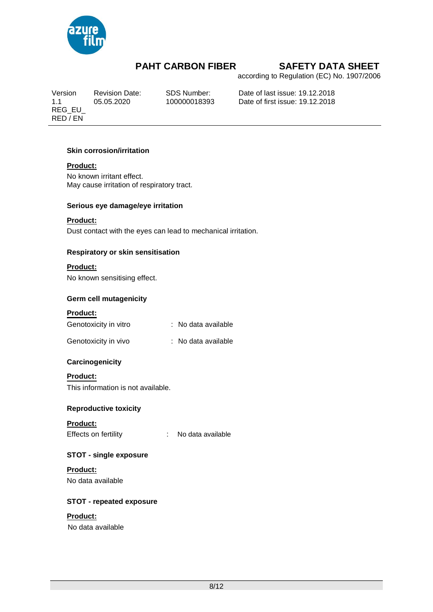

according to Regulation (EC) No. 1907/2006

REG\_EU\_ RED / EN

Version Revision Date: SDS Number: Date of last issue: 19.12.2018 1.1 05.05.2020 100000018393 Date of first issue: 19.12.2018

# **Skin corrosion/irritation**

# **Product:**

No known irritant effect. May cause irritation of respiratory tract.

## **Serious eye damage/eye irritation**

# **Product:**

Dust contact with the eyes can lead to mechanical irritation.

## **Respiratory or skin sensitisation**

# **Product:**

No known sensitising effect.

# **Germ cell mutagenicity**

### **Product:**

| Genotoxicity in vitro | : No data available |
|-----------------------|---------------------|
|                       |                     |

| : No data available |
|---------------------|
|                     |

# **Carcinogenicity**

### **Product:**

This information is not available.

# **Reproductive toxicity**

# **Product:**

Effects on fertility : No data available

# **STOT - single exposure**

# **Product:**

No data available

# **STOT - repeated exposure**

# **Product:**

No data available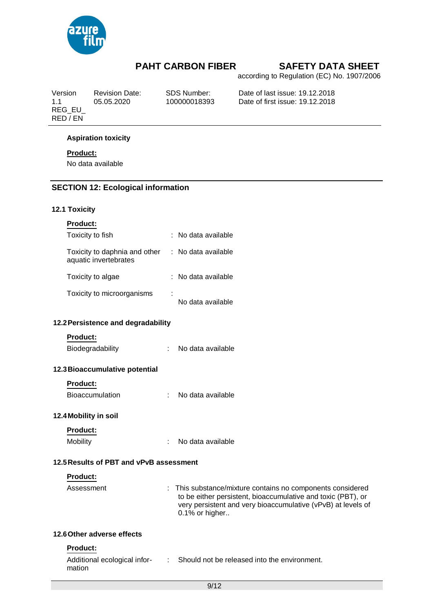

according to Regulation (EC) No. 1907/2006

REG\_EU\_ RED / EN

Version Revision Date: SDS Number: Date of last issue: 19.12.2018 Date of first issue: 19.12.2018

### **Aspiration toxicity**

## **Product:**

No data available

# **SECTION 12: Ecological information**

### **12.1 Toxicity**

| <b>Product:</b>                                        |                     |
|--------------------------------------------------------|---------------------|
| Toxicity to fish                                       | ∶ No data available |
| Toxicity to daphnia and other<br>aquatic invertebrates | : No data available |
| Toxicity to algae                                      | : No data available |
| Toxicity to microorganisms                             | No data available   |

### **12.2Persistence and degradability**

# **Product:**

Biodegradability : No data available

### **12.3Bioaccumulative potential**

### **Product:**

### **12.4Mobility in soil**

# **Product:**

Mobility : No data available

# **12.5Results of PBT and vPvB assessment**

### **Product:**

| Assessment | : This substance/mixture contains no components considered   |
|------------|--------------------------------------------------------------|
|            | to be either persistent, bioaccumulative and toxic (PBT), or |
|            | very persistent and very bioaccumulative (vPvB) at levels of |
|            | $0.1\%$ or higher                                            |

# **12.6Other adverse effects**

# **Product:**

| Additional ecological infor- | Should not be released into the environment. |
|------------------------------|----------------------------------------------|
| mation                       |                                              |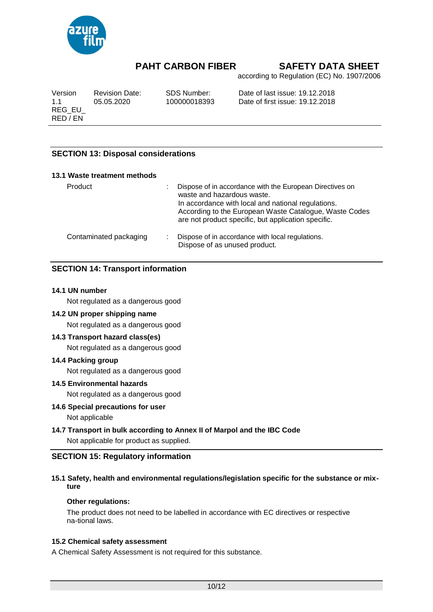

according to Regulation (EC) No. 1907/2006

| Version            | <b>Revision Date:</b> | SDS Number:  | Date of last issue: 19.12.2018  |
|--------------------|-----------------------|--------------|---------------------------------|
| 11                 | 05.05.2020            | 100000018393 | Date of first issue: 19.12.2018 |
| REG EU<br>RED / EN |                       |              |                                 |

# **SECTION 13: Disposal considerations**

| 13.1 Waste treatment methods |                                                                                                                                                                                                                                                               |
|------------------------------|---------------------------------------------------------------------------------------------------------------------------------------------------------------------------------------------------------------------------------------------------------------|
| Product                      | Dispose of in accordance with the European Directives on<br>waste and hazardous waste.<br>In accordance with local and national regulations.<br>According to the European Waste Catalogue, Waste Codes<br>are not product specific, but application specific. |
| Contaminated packaging       | Dispose of in accordance with local regulations.<br>Dispose of as unused product.                                                                                                                                                                             |

# **SECTION 14: Transport information**

### **14.1 UN number**

Not regulated as a dangerous good

## **14.2 UN proper shipping name**

Not regulated as a dangerous good

### **14.3 Transport hazard class(es)**

Not regulated as a dangerous good

### **14.4 Packing group**

Not regulated as a dangerous good

### **14.5 Environmental hazards**

Not regulated as a dangerous good

### **14.6 Special precautions for user**

# Not applicable

# **14.7 Transport in bulk according to Annex II of Marpol and the IBC Code**

Not applicable for product as supplied.

# **SECTION 15: Regulatory information**

### **15.1 Safety, health and environmental regulations/legislation specific for the substance or mixture**

### **Other regulations:**

The product does not need to be labelled in accordance with EC directives or respective na-tional laws.

### **15.2 Chemical safety assessment**

A Chemical Safety Assessment is not required for this substance.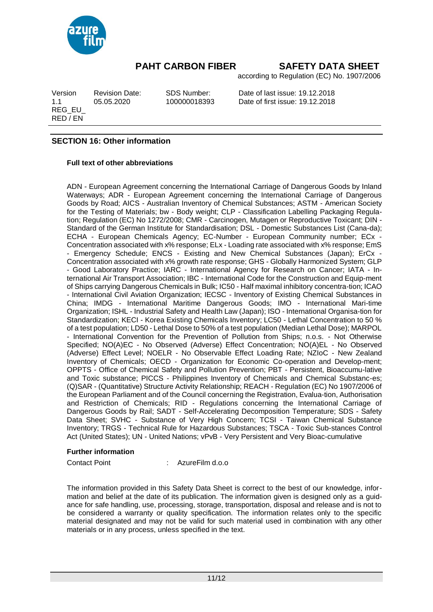

according to Regulation (EC) No. 1907/2006

REG\_EU\_ RED / EN

Version Revision Date: SDS Number: Date of last issue: 19.12.2018 1.1 05.05.2020 100000018393 Date of first issue: 19.12.2018

# **SECTION 16: Other information**

## **Full text of other abbreviations**

ADN - European Agreement concerning the International Carriage of Dangerous Goods by Inland Waterways; ADR - European Agreement concerning the International Carriage of Dangerous Goods by Road; AICS - Australian Inventory of Chemical Substances; ASTM - American Society for the Testing of Materials; bw - Body weight; CLP - Classification Labelling Packaging Regulation; Regulation (EC) No 1272/2008; CMR - Carcinogen, Mutagen or Reproductive Toxicant; DIN - Standard of the German Institute for Standardisation; DSL - Domestic Substances List (Cana-da); ECHA - European Chemicals Agency; EC-Number - European Community number; ECx - Concentration associated with x% response; ELx - Loading rate associated with x% response; EmS - Emergency Schedule; ENCS - Existing and New Chemical Substances (Japan); ErCx - Concentration associated with x% growth rate response; GHS - Globally Harmonized System; GLP - Good Laboratory Practice; IARC - International Agency for Research on Cancer; IATA - International Air Transport Association; IBC - International Code for the Construction and Equip-ment of Ships carrying Dangerous Chemicals in Bulk; IC50 - Half maximal inhibitory concentra-tion; ICAO - International Civil Aviation Organization; IECSC - Inventory of Existing Chemical Substances in China; IMDG - International Maritime Dangerous Goods; IMO - International Mari-time Organization; ISHL - Industrial Safety and Health Law (Japan); ISO - International Organisa-tion for Standardization; KECI - Korea Existing Chemicals Inventory; LC50 - Lethal Concentration to 50 % of a test population; LD50 -Lethal Dose to 50% of a test population (Median Lethal Dose); MARPOL - International Convention for the Prevention of Pollution from Ships; n.o.s. - Not Otherwise Specified; NO(A)EC - No Observed (Adverse) Effect Concentration; NO(A)EL - No Observed (Adverse) Effect Level; NOELR - No Observable Effect Loading Rate; NZIoC - New Zealand Inventory of Chemicals; OECD - Organization for Economic Co-operation and Develop-ment; OPPTS - Office of Chemical Safety and Pollution Prevention; PBT - Persistent, Bioaccumu-lative and Toxic substance; PICCS - Philippines Inventory of Chemicals and Chemical Substanc-es; (Q)SAR - (Quantitative) Structure Activity Relationship; REACH - Regulation (EC) No 1907/2006 of the European Parliament and of the Council concerning the Registration, Evalua-tion, Authorisation and Restriction of Chemicals; RID - Regulations concerning the International Carriage of Dangerous Goods by Rail; SADT - Self-Accelerating Decomposition Temperature; SDS - Safety Data Sheet; SVHC - Substance of Very High Concern; TCSI - Taiwan Chemical Substance Inventory; TRGS - Technical Rule for Hazardous Substances; TSCA - Toxic Sub-stances Control Act (United States); UN - United Nations; vPvB - Very Persistent and Very Bioac-cumulative

### **Further information**

Contact Point : AzureFilm d.o.o

The information provided in this Safety Data Sheet is correct to the best of our knowledge, information and belief at the date of its publication. The information given is designed only as a guidance for safe handling, use, processing, storage, transportation, disposal and release and is not to be considered a warranty or quality specification. The information relates only to the specific material designated and may not be valid for such material used in combination with any other materials or in any process, unless specified in the text.